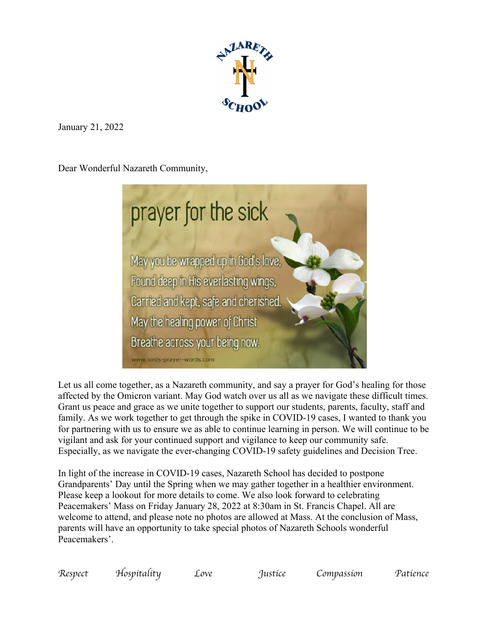

January 21, 2022

Dear Wonderful Nazareth Community,



Let us all come together, as a Nazareth community, and say a prayer for God's healing for those affected by the Omicron variant. May God watch over us all as we navigate these difficult times. Grant us peace and grace as we unite together to support our students, parents, faculty, staff and family. As we work together to get through the spike in COVID-19 cases, I wanted to thank you for partnering with us to ensure we as able to continue learning in person. We will continue to be vigilant and ask for your continued support and vigilance to keep our community safe. Especially, as we navigate the ever-changing COVID-19 safety guidelines and Decision Tree.

In light of the increase in COVID-19 cases, Nazareth School has decided to postpone Grandparents' Day until the Spring when we may gather together in a healthier environment. Please keep a lookout for more details to come. We also look forward to celebrating Peacemakers' Mass on Friday January 28, 2022 at 8:30am in St. Francis Chapel. All are welcome to attend, and please note no photos are allowed at Mass. At the conclusion of Mass, parents will have an opportunity to take special photos of Nazareth Schools wonderful Peacemakers'.

| Respect<br>Hospítalíty<br>Justice<br>Compassion<br>Love | Patience |
|---------------------------------------------------------|----------|
|---------------------------------------------------------|----------|